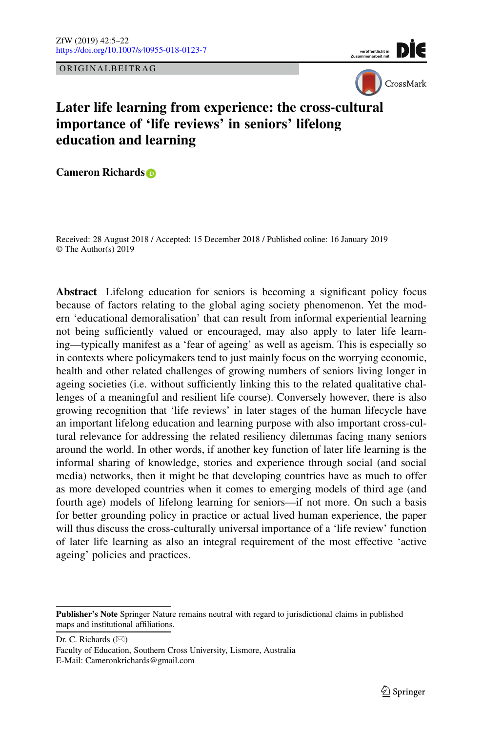ORIGINALBEITRAG





# **Later life learning from experience: the cross-cultural importance of 'life reviews' in seniors' lifelong education and learning**

**Cameron Richards**

Received: 28 August 2018 / Accepted: 15 December 2018 / Published online: 16 January 2019 © The Author(s) 2019

**Abstract** Lifelong education for seniors is becoming a significant policy focus because of factors relating to the global aging society phenomenon. Yet the modern 'educational demoralisation' that can result from informal experiential learning not being sufficiently valued or encouraged, may also apply to later life learning—typically manifest as a 'fear of ageing' as well as ageism. This is especially so in contexts where policymakers tend to just mainly focus on the worrying economic, health and other related challenges of growing numbers of seniors living longer in ageing societies (i.e. without sufficiently linking this to the related qualitative challenges of a meaningful and resilient life course). Conversely however, there is also growing recognition that 'life reviews' in later stages of the human lifecycle have an important lifelong education and learning purpose with also important cross-cultural relevance for addressing the related resiliency dilemmas facing many seniors around the world. In other words, if another key function of later life learning is the informal sharing of knowledge, stories and experience through social (and social media) networks, then it might be that developing countries have as much to offer as more developed countries when it comes to emerging models of third age (and fourth age) models of lifelong learning for seniors—if not more. On such a basis for better grounding policy in practice or actual lived human experience, the paper will thus discuss the cross-culturally universal importance of a 'life review' function of later life learning as also an integral requirement of the most effective 'active ageing' policies and practices.

Dr. C. Richards ( $\boxtimes$ ) Faculty of Education, Southern Cross University, Lismore, Australia E-Mail: Cameronkrichards@gmail.com

**Publisher's Note** Springer Nature remains neutral with regard to jurisdictional claims in published maps and institutional affiliations.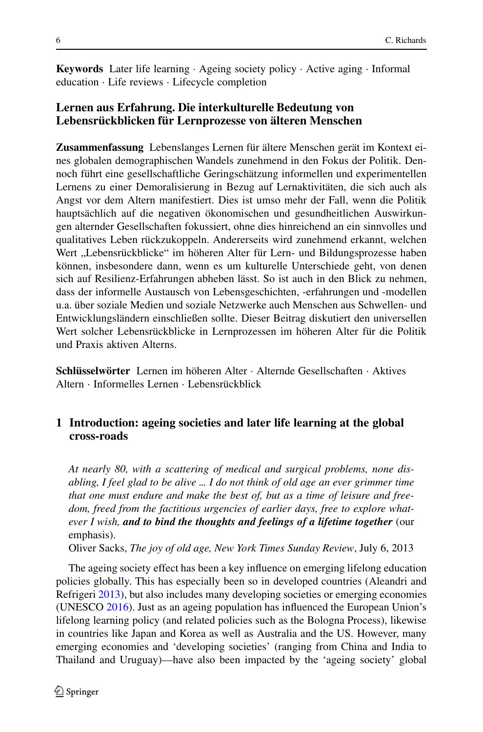**Keywords** Later life learning · Ageing society policy · Active aging · Informal education · Life reviews · Lifecycle completion

## **Lernen aus Erfahrung. Die interkulturelle Bedeutung von Lebensrückblicken für Lernprozesse von älteren Menschen**

**Zusammenfassung** Lebenslanges Lernen für ältere Menschen gerät im Kontext eines globalen demographischen Wandels zunehmend in den Fokus der Politik. Dennoch führt eine gesellschaftliche Geringschätzung informellen und experimentellen Lernens zu einer Demoralisierung in Bezug auf Lernaktivitäten, die sich auch als Angst vor dem Altern manifestiert. Dies ist umso mehr der Fall, wenn die Politik hauptsächlich auf die negativen ökonomischen und gesundheitlichen Auswirkungen alternder Gesellschaften fokussiert, ohne dies hinreichend an ein sinnvolles und qualitatives Leben rückzukoppeln. Andererseits wird zunehmend erkannt, welchen Wert "Lebensrückblicke" im höheren Alter für Lern- und Bildungsprozesse haben können, insbesondere dann, wenn es um kulturelle Unterschiede geht, von denen sich auf Resilienz-Erfahrungen abheben lässt. So ist auch in den Blick zu nehmen, dass der informelle Austausch von Lebensgeschichten, -erfahrungen und -modellen u.a. über soziale Medien und soziale Netzwerke auch Menschen aus Schwellen- und Entwicklungsländern einschließen sollte. Dieser Beitrag diskutiert den universellen Wert solcher Lebensrückblicke in Lernprozessen im höheren Alter für die Politik und Praxis aktiven Alterns.

**Schlüsselwörter** Lernen im höheren Alter · Alternde Gesellschaften · Aktives Altern · Informelles Lernen · Lebensrückblick

## **1 Introduction: ageing societies and later life learning at the global cross-roads**

*At nearly 80, with a scattering of medical and surgical problems, none disabling, I feel glad to be alive ... I do not think of old age an ever grimmer time that one must endure and make the best of, but as a time of leisure and freedom, freed from the factitious urgencies of earlier days, free to explore whatever I wish, and to bind the thoughts and feelings of a lifetime together* (our emphasis).

Oliver Sacks, *The joy of old age, New York Times Sunday Review*, July 6, 2013

The ageing society effect has been a key influence on emerging lifelong education policies globally. This has especially been so in developed countries (Aleandri and Refrigeri [2013\)](#page-15-0), but also includes many developing societies or emerging economies (UNESCO [2016\)](#page-16-0). Just as an ageing population has influenced the European Union's lifelong learning policy (and related policies such as the Bologna Process), likewise in countries like Japan and Korea as well as Australia and the US. However, many emerging economies and 'developing societies' (ranging from China and India to Thailand and Uruguay)—have also been impacted by the 'ageing society' global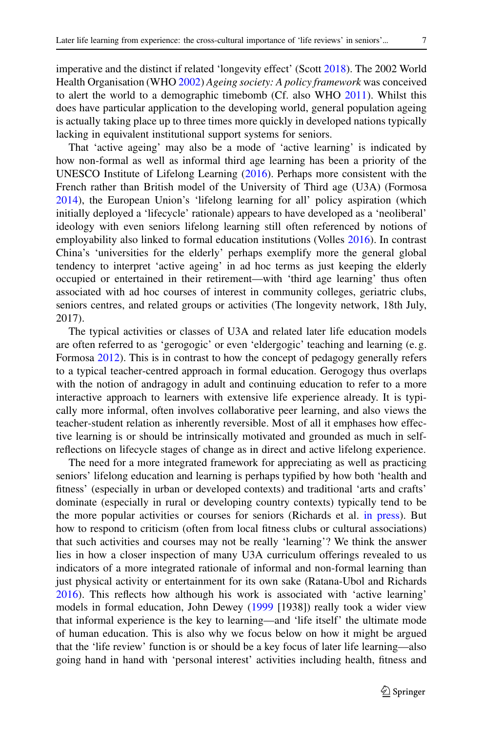imperative and the distinct if related 'longevity effect' (Scott [2018\)](#page-16-1). The 2002 World Health Organisation (WHO [2002\)](#page-17-0) *Ageing society: A policy framework* was conceived to alert the world to a demographic timebomb (Cf. also WHO [2011\)](#page-17-1). Whilst this does have particular application to the developing world, general population ageing is actually taking place up to three times more quickly in developed nations typically lacking in equivalent institutional support systems for seniors.

That 'active ageing' may also be a mode of 'active learning' is indicated by how non-formal as well as informal third age learning has been a priority of the UNESCO Institute of Lifelong Learning [\(2016\)](#page-16-0). Perhaps more consistent with the French rather than British model of the University of Third age (U3A) (Formosa [2014\)](#page-15-1), the European Union's 'lifelong learning for all' policy aspiration (which initially deployed a 'lifecycle' rationale) appears to have developed as a 'neoliberal' ideology with even seniors lifelong learning still often referenced by notions of employability also linked to formal education institutions (Volles [2016\)](#page-17-2). In contrast China's 'universities for the elderly' perhaps exemplify more the general global tendency to interpret 'active ageing' in ad hoc terms as just keeping the elderly occupied or entertained in their retirement—with 'third age learning' thus often associated with ad hoc courses of interest in community colleges, geriatric clubs, seniors centres, and related groups or activities (The longevity network, 18th July, 2017).

The typical activities or classes of U3A and related later life education models are often referred to as 'gerogogic' or even 'eldergogic' teaching and learning (e. g. Formosa [2012\)](#page-15-2). This is in contrast to how the concept of pedagogy generally refers to a typical teacher-centred approach in formal education. Gerogogy thus overlaps with the notion of andragogy in adult and continuing education to refer to a more interactive approach to learners with extensive life experience already. It is typically more informal, often involves collaborative peer learning, and also views the teacher-student relation as inherently reversible. Most of all it emphases how effective learning is or should be intrinsically motivated and grounded as much in selfreflections on lifecycle stages of change as in direct and active lifelong experience.

The need for a more integrated framework for appreciating as well as practicing seniors' lifelong education and learning is perhaps typified by how both 'health and fitness' (especially in urban or developed contexts) and traditional 'arts and crafts' dominate (especially in rural or developing country contexts) typically tend to be the more popular activities or courses for seniors (Richards et al. [in press\)](#page-16-2). But how to respond to criticism (often from local fitness clubs or cultural associations) that such activities and courses may not be really 'learning'? We think the answer lies in how a closer inspection of many U3A curriculum offerings revealed to us indicators of a more integrated rationale of informal and non-formal learning than just physical activity or entertainment for its own sake (Ratana-Ubol and Richards [2016\)](#page-16-3). This reflects how although his work is associated with 'active learning' models in formal education, John Dewey [\(1999](#page-15-3) [1938]) really took a wider view that informal experience is the key to learning—and 'life itself' the ultimate mode of human education. This is also why we focus below on how it might be argued that the 'life review' function is or should be a key focus of later life learning—also going hand in hand with 'personal interest' activities including health, fitness and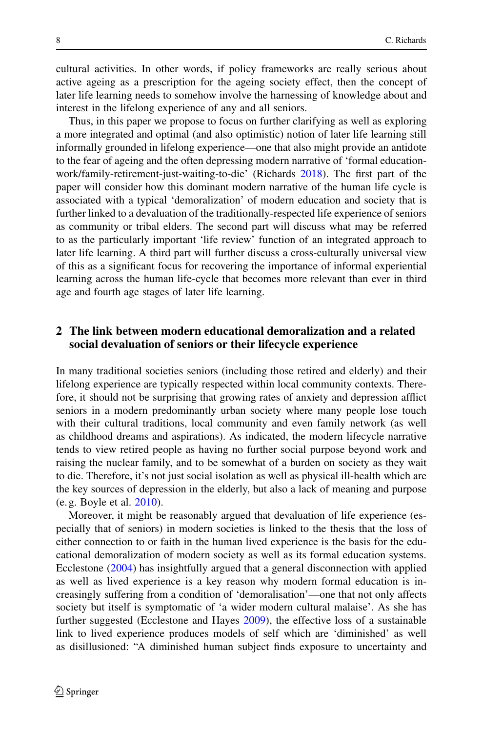cultural activities. In other words, if policy frameworks are really serious about active ageing as a prescription for the ageing society effect, then the concept of later life learning needs to somehow involve the harnessing of knowledge about and interest in the lifelong experience of any and all seniors.

Thus, in this paper we propose to focus on further clarifying as well as exploring a more integrated and optimal (and also optimistic) notion of later life learning still informally grounded in lifelong experience—one that also might provide an antidote to the fear of ageing and the often depressing modern narrative of 'formal educationwork/family-retirement-just-waiting-to-die' (Richards [2018\)](#page-16-4). The first part of the paper will consider how this dominant modern narrative of the human life cycle is associated with a typical 'demoralization' of modern education and society that is further linked to a devaluation of the traditionally-respected life experience of seniors as community or tribal elders. The second part will discuss what may be referred to as the particularly important 'life review' function of an integrated approach to later life learning. A third part will further discuss a cross-culturally universal view of this as a significant focus for recovering the importance of informal experiential learning across the human life-cycle that becomes more relevant than ever in third age and fourth age stages of later life learning.

#### **2 The link between modern educational demoralization and a related social devaluation of seniors or their lifecycle experience**

In many traditional societies seniors (including those retired and elderly) and their lifelong experience are typically respected within local community contexts. Therefore, it should not be surprising that growing rates of anxiety and depression afflict seniors in a modern predominantly urban society where many people lose touch with their cultural traditions, local community and even family network (as well as childhood dreams and aspirations). As indicated, the modern lifecycle narrative tends to view retired people as having no further social purpose beyond work and raising the nuclear family, and to be somewhat of a burden on society as they wait to die. Therefore, it's not just social isolation as well as physical ill-health which are the key sources of depression in the elderly, but also a lack of meaning and purpose (e. g. Boyle et al. [2010\)](#page-15-4).

Moreover, it might be reasonably argued that devaluation of life experience (especially that of seniors) in modern societies is linked to the thesis that the loss of either connection to or faith in the human lived experience is the basis for the educational demoralization of modern society as well as its formal education systems. Ecclestone [\(2004\)](#page-15-5) has insightfully argued that a general disconnection with applied as well as lived experience is a key reason why modern formal education is increasingly suffering from a condition of 'demoralisation'—one that not only affects society but itself is symptomatic of 'a wider modern cultural malaise'. As she has further suggested (Ecclestone and Hayes [2009\)](#page-15-6), the effective loss of a sustainable link to lived experience produces models of self which are 'diminished' as well as disillusioned: "A diminished human subject finds exposure to uncertainty and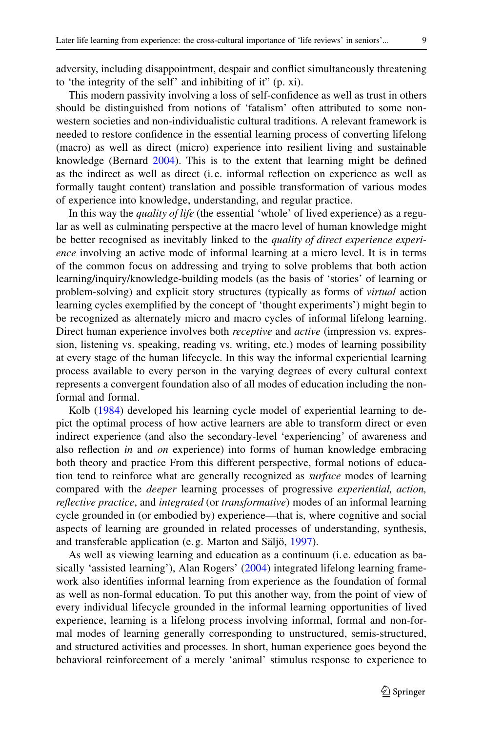adversity, including disappointment, despair and conflict simultaneously threatening to 'the integrity of the self' and inhibiting of it" (p. xi).

This modern passivity involving a loss of self-confidence as well as trust in others should be distinguished from notions of 'fatalism' often attributed to some nonwestern societies and non-individualistic cultural traditions. A relevant framework is needed to restore confidence in the essential learning process of converting lifelong (macro) as well as direct (micro) experience into resilient living and sustainable knowledge (Bernard [2004\)](#page-15-7). This is to the extent that learning might be defined as the indirect as well as direct (i. e. informal reflection on experience as well as formally taught content) translation and possible transformation of various modes of experience into knowledge, understanding, and regular practice.

In this way the *quality of life* (the essential 'whole' of lived experience) as a regular as well as culminating perspective at the macro level of human knowledge might be better recognised as inevitably linked to the *quality of direct experience experience* involving an active mode of informal learning at a micro level. It is in terms of the common focus on addressing and trying to solve problems that both action learning/inquiry/knowledge-building models (as the basis of 'stories' of learning or problem-solving) and explicit story structures (typically as forms of *virtual* action learning cycles exemplified by the concept of 'thought experiments') might begin to be recognized as alternately micro and macro cycles of informal lifelong learning. Direct human experience involves both *receptive* and *active* (impression vs. expression, listening vs. speaking, reading vs. writing, etc.) modes of learning possibility at every stage of the human lifecycle. In this way the informal experiential learning process available to every person in the varying degrees of every cultural context represents a convergent foundation also of all modes of education including the nonformal and formal.

Kolb [\(1984\)](#page-16-5) developed his learning cycle model of experiential learning to depict the optimal process of how active learners are able to transform direct or even indirect experience (and also the secondary-level 'experiencing' of awareness and also reflection *in* and *on* experience) into forms of human knowledge embracing both theory and practice From this different perspective, formal notions of education tend to reinforce what are generally recognized as *surface* modes of learning compared with the *deeper* learning processes of progressive *experiential, action, reflective practice*, and *integrated* (or *transformative*) modes of an informal learning cycle grounded in (or embodied by) experience—that is, where cognitive and social aspects of learning are grounded in related processes of understanding, synthesis, and transferable application (e. g. Marton and Säljö, [1997\)](#page-16-6).

As well as viewing learning and education as a continuum (i. e. education as ba-sically 'assisted learning'), Alan Rogers' [\(2004\)](#page-16-7) integrated lifelong learning framework also identifies informal learning from experience as the foundation of formal as well as non-formal education. To put this another way, from the point of view of every individual lifecycle grounded in the informal learning opportunities of lived experience, learning is a lifelong process involving informal, formal and non-formal modes of learning generally corresponding to unstructured, semis-structured, and structured activities and processes. In short, human experience goes beyond the behavioral reinforcement of a merely 'animal' stimulus response to experience to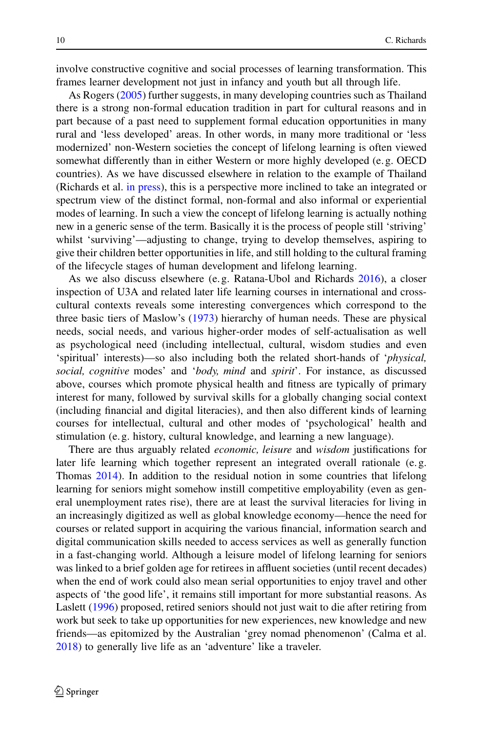involve constructive cognitive and social processes of learning transformation. This frames learner development not just in infancy and youth but all through life.

As Rogers [\(2005\)](#page-16-8) further suggests, in many developing countries such as Thailand there is a strong non-formal education tradition in part for cultural reasons and in part because of a past need to supplement formal education opportunities in many rural and 'less developed' areas. In other words, in many more traditional or 'less modernized' non-Western societies the concept of lifelong learning is often viewed somewhat differently than in either Western or more highly developed (e. g. OECD countries). As we have discussed elsewhere in relation to the example of Thailand (Richards et al. [in press\)](#page-16-2), this is a perspective more inclined to take an integrated or spectrum view of the distinct formal, non-formal and also informal or experiential modes of learning. In such a view the concept of lifelong learning is actually nothing new in a generic sense of the term. Basically it is the process of people still 'striving' whilst 'surviving'—adjusting to change, trying to develop themselves, aspiring to give their children better opportunities in life, and still holding to the cultural framing of the lifecycle stages of human development and lifelong learning.

As we also discuss elsewhere (e. g. Ratana-Ubol and Richards [2016\)](#page-16-3), a closer inspection of U3A and related later life learning courses in international and crosscultural contexts reveals some interesting convergences which correspond to the three basic tiers of Maslow's [\(1973\)](#page-16-9) hierarchy of human needs. These are physical needs, social needs, and various higher-order modes of self-actualisation as well as psychological need (including intellectual, cultural, wisdom studies and even 'spiritual' interests)—so also including both the related short-hands of '*physical, social, cognitive* modes' and '*body, mind* and *spirit*'. For instance, as discussed above, courses which promote physical health and fitness are typically of primary interest for many, followed by survival skills for a globally changing social context (including financial and digital literacies), and then also different kinds of learning courses for intellectual, cultural and other modes of 'psychological' health and stimulation (e. g. history, cultural knowledge, and learning a new language).

There are thus arguably related *economic, leisure* and *wisdom* justifications for later life learning which together represent an integrated overall rationale (e. g. Thomas [2014\)](#page-16-10). In addition to the residual notion in some countries that lifelong learning for seniors might somehow instill competitive employability (even as general unemployment rates rise), there are at least the survival literacies for living in an increasingly digitized as well as global knowledge economy—hence the need for courses or related support in acquiring the various financial, information search and digital communication skills needed to access services as well as generally function in a fast-changing world. Although a leisure model of lifelong learning for seniors was linked to a brief golden age for retirees in affluent societies (until recent decades) when the end of work could also mean serial opportunities to enjoy travel and other aspects of 'the good life', it remains still important for more substantial reasons. As Laslett [\(1996\)](#page-16-11) proposed, retired seniors should not just wait to die after retiring from work but seek to take up opportunities for new experiences, new knowledge and new friends—as epitomized by the Australian 'grey nomad phenomenon' (Calma et al. [2018\)](#page-15-8) to generally live life as an 'adventure' like a traveler.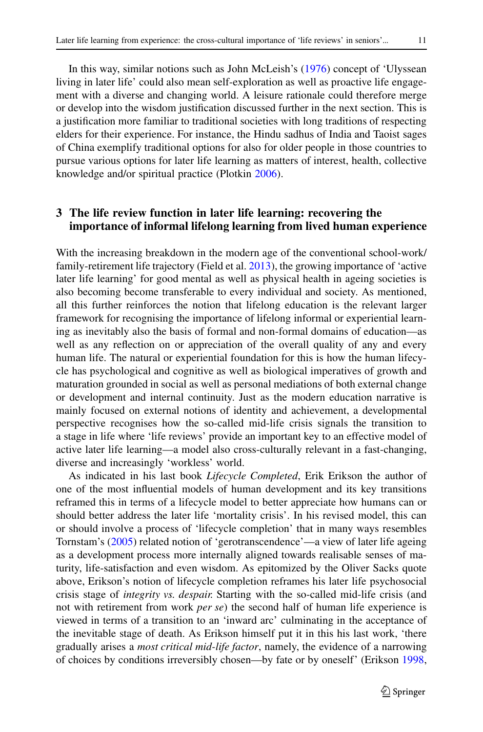In this way, similar notions such as John McLeish's [\(1976\)](#page-16-12) concept of 'Ulyssean living in later life' could also mean self-exploration as well as proactive life engagement with a diverse and changing world. A leisure rationale could therefore merge or develop into the wisdom justification discussed further in the next section. This is a justification more familiar to traditional societies with long traditions of respecting elders for their experience. For instance, the Hindu sadhus of India and Taoist sages of China exemplify traditional options for also for older people in those countries to pursue various options for later life learning as matters of interest, health, collective knowledge and/or spiritual practice (Plotkin [2006\)](#page-16-13).

## **3 The life review function in later life learning: recovering the importance of informal lifelong learning from lived human experience**

With the increasing breakdown in the modern age of the conventional school-work/ family-retirement life trajectory (Field et al. [2013\)](#page-15-9), the growing importance of 'active later life learning' for good mental as well as physical health in ageing societies is also becoming become transferable to every individual and society. As mentioned, all this further reinforces the notion that lifelong education is the relevant larger framework for recognising the importance of lifelong informal or experiential learning as inevitably also the basis of formal and non-formal domains of education—as well as any reflection on or appreciation of the overall quality of any and every human life. The natural or experiential foundation for this is how the human lifecycle has psychological and cognitive as well as biological imperatives of growth and maturation grounded in social as well as personal mediations of both external change or development and internal continuity. Just as the modern education narrative is mainly focused on external notions of identity and achievement, a developmental perspective recognises how the so-called mid-life crisis signals the transition to a stage in life where 'life reviews' provide an important key to an effective model of active later life learning—a model also cross-culturally relevant in a fast-changing, diverse and increasingly 'workless' world.

As indicated in his last book *Lifecycle Completed*, Erik Erikson the author of one of the most influential models of human development and its key transitions reframed this in terms of a lifecycle model to better appreciate how humans can or should better address the later life 'mortality crisis'. In his revised model, this can or should involve a process of 'lifecycle completion' that in many ways resembles Tornstam's [\(2005\)](#page-16-14) related notion of 'gerotranscendence'—a view of later life ageing as a development process more internally aligned towards realisable senses of maturity, life-satisfaction and even wisdom. As epitomized by the Oliver Sacks quote above, Erikson's notion of lifecycle completion reframes his later life psychosocial crisis stage of *integrity vs. despair.* Starting with the so-called mid-life crisis (and not with retirement from work *per se*) the second half of human life experience is viewed in terms of a transition to an 'inward arc' culminating in the acceptance of the inevitable stage of death. As Erikson himself put it in this his last work, 'there gradually arises a *most critical mid-life factor*, namely, the evidence of a narrowing of choices by conditions irreversibly chosen—by fate or by oneself' (Erikson [1998,](#page-15-10)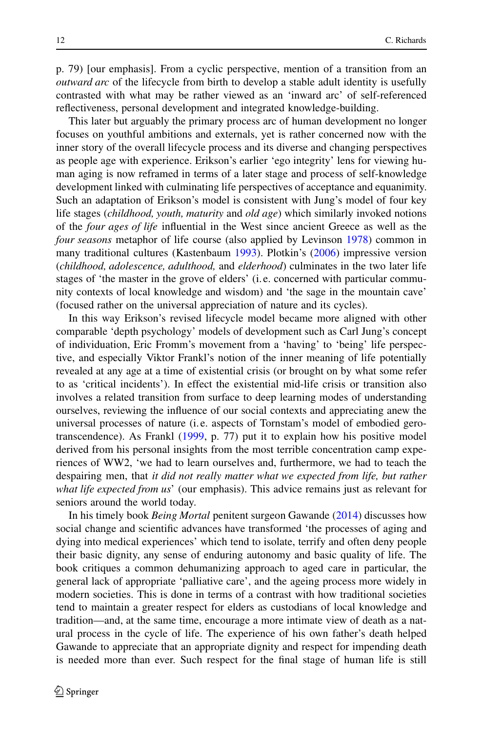p. 79) [our emphasis]. From a cyclic perspective, mention of a transition from an *outward arc* of the lifecycle from birth to develop a stable adult identity is usefully contrasted with what may be rather viewed as an 'inward arc' of self-referenced reflectiveness, personal development and integrated knowledge-building.

This later but arguably the primary process arc of human development no longer focuses on youthful ambitions and externals, yet is rather concerned now with the inner story of the overall lifecycle process and its diverse and changing perspectives as people age with experience. Erikson's earlier 'ego integrity' lens for viewing human aging is now reframed in terms of a later stage and process of self-knowledge development linked with culminating life perspectives of acceptance and equanimity. Such an adaptation of Erikson's model is consistent with Jung's model of four key life stages (*childhood, youth, maturity* and *old age*) which similarly invoked notions of the *four ages of life* influential in the West since ancient Greece as well as the *four seasons* metaphor of life course (also applied by Levinson [1978\)](#page-16-15) common in many traditional cultures (Kastenbaum [1993\)](#page-16-16). Plotkin's [\(2006\)](#page-16-13) impressive version (*childhood, adolescence, adulthood,* and *elderhood*) culminates in the two later life stages of 'the master in the grove of elders' (i. e. concerned with particular community contexts of local knowledge and wisdom) and 'the sage in the mountain cave' (focused rather on the universal appreciation of nature and its cycles).

In this way Erikson's revised lifecycle model became more aligned with other comparable 'depth psychology' models of development such as Carl Jung's concept of individuation, Eric Fromm's movement from a 'having' to 'being' life perspective, and especially Viktor Frankl's notion of the inner meaning of life potentially revealed at any age at a time of existential crisis (or brought on by what some refer to as 'critical incidents'). In effect the existential mid-life crisis or transition also involves a related transition from surface to deep learning modes of understanding ourselves, reviewing the influence of our social contexts and appreciating anew the universal processes of nature (i. e. aspects of Tornstam's model of embodied gerotranscendence). As Frankl [\(1999,](#page-15-11) p. 77) put it to explain how his positive model derived from his personal insights from the most terrible concentration camp experiences of WW2, 'we had to learn ourselves and, furthermore, we had to teach the despairing men, that *it did not really matter what we expected from life, but rather what life expected from us*' (our emphasis). This advice remains just as relevant for seniors around the world today.

In his timely book *Being Mortal* penitent surgeon Gawande [\(2014\)](#page-15-12) discusses how social change and scientific advances have transformed 'the processes of aging and dying into medical experiences' which tend to isolate, terrify and often deny people their basic dignity, any sense of enduring autonomy and basic quality of life. The book critiques a common dehumanizing approach to aged care in particular, the general lack of appropriate 'palliative care', and the ageing process more widely in modern societies. This is done in terms of a contrast with how traditional societies tend to maintain a greater respect for elders as custodians of local knowledge and tradition—and, at the same time, encourage a more intimate view of death as a natural process in the cycle of life. The experience of his own father's death helped Gawande to appreciate that an appropriate dignity and respect for impending death is needed more than ever. Such respect for the final stage of human life is still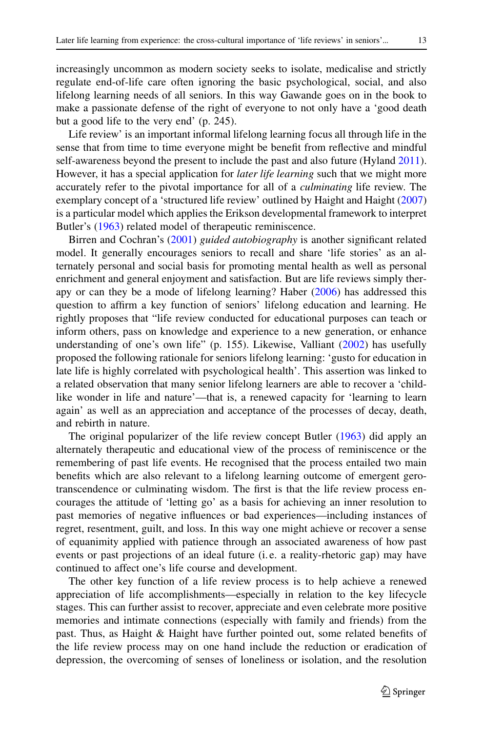increasingly uncommon as modern society seeks to isolate, medicalise and strictly regulate end-of-life care often ignoring the basic psychological, social, and also lifelong learning needs of all seniors. In this way Gawande goes on in the book to make a passionate defense of the right of everyone to not only have a 'good death but a good life to the very end' (p. 245).

Life review' is an important informal lifelong learning focus all through life in the sense that from time to time everyone might be benefit from reflective and mindful self-awareness beyond the present to include the past and also future (Hyland [2011\)](#page-16-17). However, it has a special application for *later life learning* such that we might more accurately refer to the pivotal importance for all of a *culminating* life review. The exemplary concept of a 'structured life review' outlined by Haight and Haight [\(2007\)](#page-16-18) is a particular model which applies the Erikson developmental framework to interpret Butler's [\(1963\)](#page-15-13) related model of therapeutic reminiscence.

Birren and Cochran's [\(2001\)](#page-15-14) *guided autobiography* is another significant related model. It generally encourages seniors to recall and share 'life stories' as an alternately personal and social basis for promoting mental health as well as personal enrichment and general enjoyment and satisfaction. But are life reviews simply therapy or can they be a mode of lifelong learning? Haber [\(2006\)](#page-16-19) has addressed this question to affirm a key function of seniors' lifelong education and learning. He rightly proposes that "life review conducted for educational purposes can teach or inform others, pass on knowledge and experience to a new generation, or enhance understanding of one's own life" (p. 155). Likewise, Valliant [\(2002\)](#page-17-3) has usefully proposed the following rationale for seniors lifelong learning: 'gusto for education in late life is highly correlated with psychological health'. This assertion was linked to a related observation that many senior lifelong learners are able to recover a 'childlike wonder in life and nature'—that is, a renewed capacity for 'learning to learn again' as well as an appreciation and acceptance of the processes of decay, death, and rebirth in nature.

The original popularizer of the life review concept Butler [\(1963\)](#page-15-13) did apply an alternately therapeutic and educational view of the process of reminiscence or the remembering of past life events. He recognised that the process entailed two main benefits which are also relevant to a lifelong learning outcome of emergent gerotranscendence or culminating wisdom. The first is that the life review process encourages the attitude of 'letting go' as a basis for achieving an inner resolution to past memories of negative influences or bad experiences—including instances of regret, resentment, guilt, and loss. In this way one might achieve or recover a sense of equanimity applied with patience through an associated awareness of how past events or past projections of an ideal future (i. e. a reality-rhetoric gap) may have continued to affect one's life course and development.

The other key function of a life review process is to help achieve a renewed appreciation of life accomplishments—especially in relation to the key lifecycle stages. This can further assist to recover, appreciate and even celebrate more positive memories and intimate connections (especially with family and friends) from the past. Thus, as Haight & Haight have further pointed out, some related benefits of the life review process may on one hand include the reduction or eradication of depression, the overcoming of senses of loneliness or isolation, and the resolution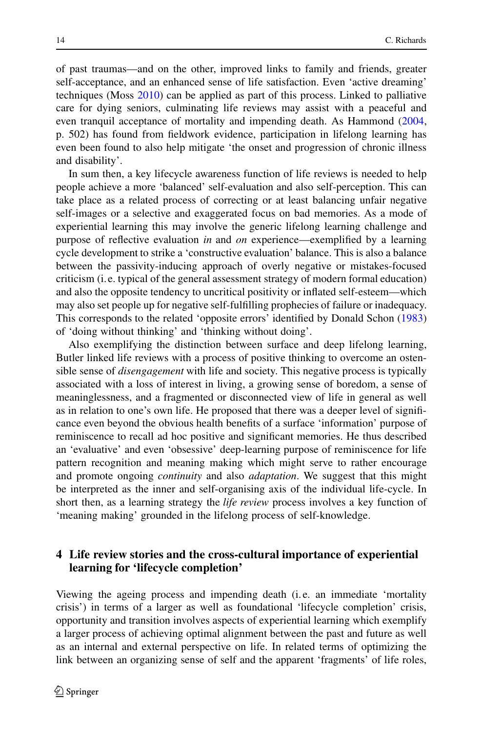of past traumas—and on the other, improved links to family and friends, greater self-acceptance, and an enhanced sense of life satisfaction. Even 'active dreaming' techniques (Moss [2010\)](#page-16-20) can be applied as part of this process. Linked to palliative care for dying seniors, culminating life reviews may assist with a peaceful and even tranquil acceptance of mortality and impending death. As Hammond [\(2004,](#page-16-21) p. 502) has found from fieldwork evidence, participation in lifelong learning has even been found to also help mitigate 'the onset and progression of chronic illness and disability'.

In sum then, a key lifecycle awareness function of life reviews is needed to help people achieve a more 'balanced' self-evaluation and also self-perception. This can take place as a related process of correcting or at least balancing unfair negative self-images or a selective and exaggerated focus on bad memories. As a mode of experiential learning this may involve the generic lifelong learning challenge and purpose of reflective evaluation *in* and *on* experience—exemplified by a learning cycle development to strike a 'constructive evaluation' balance. This is also a balance between the passivity-inducing approach of overly negative or mistakes-focused criticism (i. e. typical of the general assessment strategy of modern formal education) and also the opposite tendency to uncritical positivity or inflated self-esteem—which may also set people up for negative self-fulfilling prophecies of failure or inadequacy. This corresponds to the related 'opposite errors' identified by Donald Schon [\(1983\)](#page-16-22) of 'doing without thinking' and 'thinking without doing'.

Also exemplifying the distinction between surface and deep lifelong learning, Butler linked life reviews with a process of positive thinking to overcome an ostensible sense of *disengagement* with life and society. This negative process is typically associated with a loss of interest in living, a growing sense of boredom, a sense of meaninglessness, and a fragmented or disconnected view of life in general as well as in relation to one's own life. He proposed that there was a deeper level of significance even beyond the obvious health benefits of a surface 'information' purpose of reminiscence to recall ad hoc positive and significant memories. He thus described an 'evaluative' and even 'obsessive' deep-learning purpose of reminiscence for life pattern recognition and meaning making which might serve to rather encourage and promote ongoing *continuity* and also *adaptation*. We suggest that this might be interpreted as the inner and self-organising axis of the individual life-cycle. In short then, as a learning strategy the *life review* process involves a key function of 'meaning making' grounded in the lifelong process of self-knowledge.

## **4 Life review stories and the cross-cultural importance of experiential learning for 'lifecycle completion'**

Viewing the ageing process and impending death (i. e. an immediate 'mortality crisis') in terms of a larger as well as foundational 'lifecycle completion' crisis, opportunity and transition involves aspects of experiential learning which exemplify a larger process of achieving optimal alignment between the past and future as well as an internal and external perspective on life. In related terms of optimizing the link between an organizing sense of self and the apparent 'fragments' of life roles,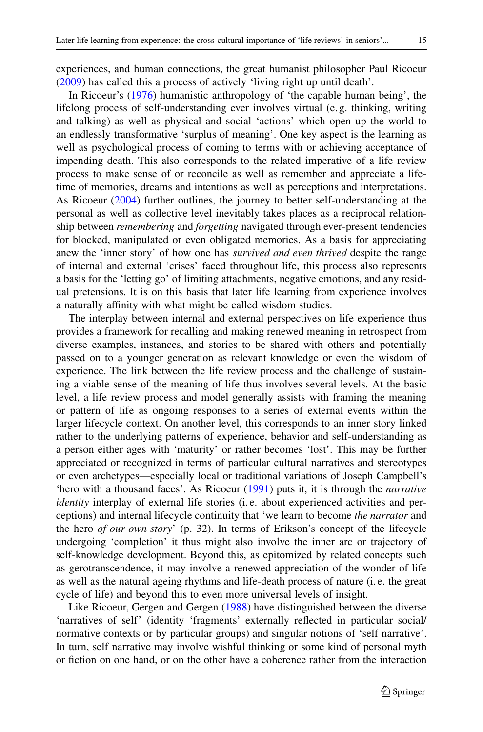experiences, and human connections, the great humanist philosopher Paul Ricoeur [\(2009\)](#page-16-23) has called this a process of actively 'living right up until death'.

In Ricoeur's [\(1976\)](#page-16-24) humanistic anthropology of 'the capable human being', the lifelong process of self-understanding ever involves virtual (e. g. thinking, writing and talking) as well as physical and social 'actions' which open up the world to an endlessly transformative 'surplus of meaning'. One key aspect is the learning as well as psychological process of coming to terms with or achieving acceptance of impending death. This also corresponds to the related imperative of a life review process to make sense of or reconcile as well as remember and appreciate a lifetime of memories, dreams and intentions as well as perceptions and interpretations. As Ricoeur [\(2004\)](#page-16-25) further outlines, the journey to better self-understanding at the personal as well as collective level inevitably takes places as a reciprocal relationship between *remembering* and *forgetting* navigated through ever-present tendencies for blocked, manipulated or even obligated memories. As a basis for appreciating anew the 'inner story' of how one has *survived and even thrived* despite the range of internal and external 'crises' faced throughout life, this process also represents a basis for the 'letting go' of limiting attachments, negative emotions, and any residual pretensions. It is on this basis that later life learning from experience involves a naturally affinity with what might be called wisdom studies.

The interplay between internal and external perspectives on life experience thus provides a framework for recalling and making renewed meaning in retrospect from diverse examples, instances, and stories to be shared with others and potentially passed on to a younger generation as relevant knowledge or even the wisdom of experience. The link between the life review process and the challenge of sustaining a viable sense of the meaning of life thus involves several levels. At the basic level, a life review process and model generally assists with framing the meaning or pattern of life as ongoing responses to a series of external events within the larger lifecycle context. On another level, this corresponds to an inner story linked rather to the underlying patterns of experience, behavior and self-understanding as a person either ages with 'maturity' or rather becomes 'lost'. This may be further appreciated or recognized in terms of particular cultural narratives and stereotypes or even archetypes—especially local or traditional variations of Joseph Campbell's 'hero with a thousand faces'. As Ricoeur [\(1991\)](#page-16-26) puts it, it is through the *narrative identity* interplay of external life stories (i. e. about experienced activities and perceptions) and internal lifecycle continuity that 'we learn to become *the narrator* and the hero *of our own story*' (p. 32). In terms of Erikson's concept of the lifecycle undergoing 'completion' it thus might also involve the inner arc or trajectory of self-knowledge development. Beyond this, as epitomized by related concepts such as gerotranscendence, it may involve a renewed appreciation of the wonder of life as well as the natural ageing rhythms and life-death process of nature (i. e. the great cycle of life) and beyond this to even more universal levels of insight.

Like Ricoeur, Gergen and Gergen [\(1988\)](#page-15-15) have distinguished between the diverse 'narratives of self' (identity 'fragments' externally reflected in particular social/ normative contexts or by particular groups) and singular notions of 'self narrative'. In turn, self narrative may involve wishful thinking or some kind of personal myth or fiction on one hand, or on the other have a coherence rather from the interaction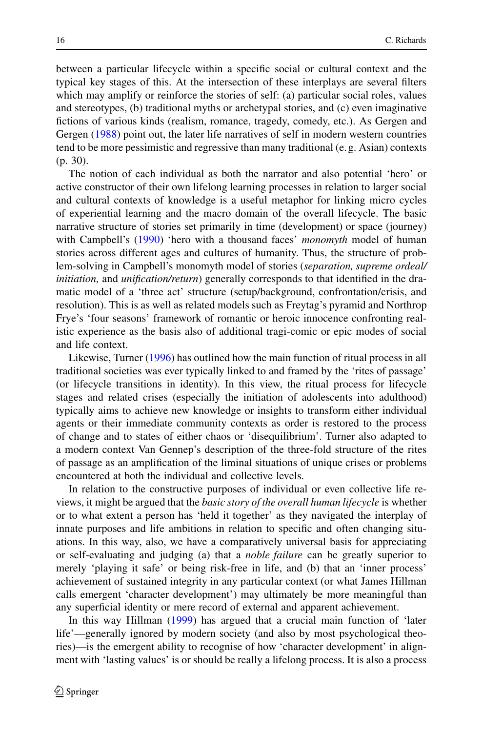between a particular lifecycle within a specific social or cultural context and the typical key stages of this. At the intersection of these interplays are several filters which may amplify or reinforce the stories of self: (a) particular social roles, values and stereotypes, (b) traditional myths or archetypal stories, and (c) even imaginative fictions of various kinds (realism, romance, tragedy, comedy, etc.). As Gergen and Gergen [\(1988\)](#page-15-15) point out, the later life narratives of self in modern western countries tend to be more pessimistic and regressive than many traditional (e. g. Asian) contexts (p. 30).

The notion of each individual as both the narrator and also potential 'hero' or active constructor of their own lifelong learning processes in relation to larger social and cultural contexts of knowledge is a useful metaphor for linking micro cycles of experiential learning and the macro domain of the overall lifecycle. The basic narrative structure of stories set primarily in time (development) or space (journey) with Campbell's [\(1990\)](#page-15-16) 'hero with a thousand faces' *monomyth* model of human stories across different ages and cultures of humanity. Thus, the structure of problem-solving in Campbell's monomyth model of stories (*separation, supreme ordeal/ initiation,* and *unification/return*) generally corresponds to that identified in the dramatic model of a 'three act' structure (setup/background, confrontation/crisis, and resolution). This is as well as related models such as Freytag's pyramid and Northrop Frye's 'four seasons' framework of romantic or heroic innocence confronting realistic experience as the basis also of additional tragi-comic or epic modes of social and life context.

Likewise, Turner [\(1996\)](#page-16-27) has outlined how the main function of ritual process in all traditional societies was ever typically linked to and framed by the 'rites of passage' (or lifecycle transitions in identity). In this view, the ritual process for lifecycle stages and related crises (especially the initiation of adolescents into adulthood) typically aims to achieve new knowledge or insights to transform either individual agents or their immediate community contexts as order is restored to the process of change and to states of either chaos or 'disequilibrium'. Turner also adapted to a modern context Van Gennep's description of the three-fold structure of the rites of passage as an amplification of the liminal situations of unique crises or problems encountered at both the individual and collective levels.

In relation to the constructive purposes of individual or even collective life reviews, it might be argued that the *basic story of the overall human lifecycle* is whether or to what extent a person has 'held it together' as they navigated the interplay of innate purposes and life ambitions in relation to specific and often changing situations. In this way, also, we have a comparatively universal basis for appreciating or self-evaluating and judging (a) that a *noble failure* can be greatly superior to merely 'playing it safe' or being risk-free in life, and (b) that an 'inner process' achievement of sustained integrity in any particular context (or what James Hillman calls emergent 'character development') may ultimately be more meaningful than any superficial identity or mere record of external and apparent achievement.

In this way Hillman [\(1999\)](#page-16-28) has argued that a crucial main function of 'later life'—generally ignored by modern society (and also by most psychological theories)—is the emergent ability to recognise of how 'character development' in alignment with 'lasting values' is or should be really a lifelong process. It is also a process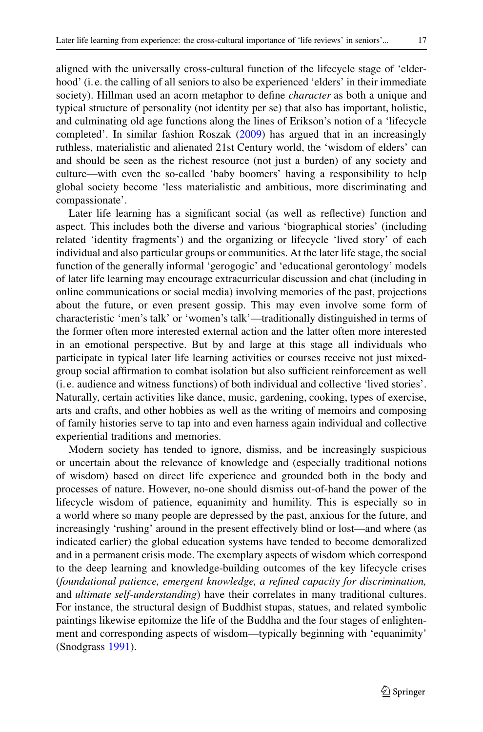aligned with the universally cross-cultural function of the lifecycle stage of 'elderhood' (i. e. the calling of all seniors to also be experienced 'elders' in their immediate society). Hillman used an acorn metaphor to define *character* as both a unique and typical structure of personality (not identity per se) that also has important, holistic, and culminating old age functions along the lines of Erikson's notion of a 'lifecycle completed'. In similar fashion Roszak [\(2009\)](#page-16-29) has argued that in an increasingly ruthless, materialistic and alienated 21st Century world, the 'wisdom of elders' can and should be seen as the richest resource (not just a burden) of any society and culture—with even the so-called 'baby boomers' having a responsibility to help global society become 'less materialistic and ambitious, more discriminating and compassionate'.

Later life learning has a significant social (as well as reflective) function and aspect. This includes both the diverse and various 'biographical stories' (including related 'identity fragments') and the organizing or lifecycle 'lived story' of each individual and also particular groups or communities. At the later life stage, the social function of the generally informal 'gerogogic' and 'educational gerontology' models of later life learning may encourage extracurricular discussion and chat (including in online communications or social media) involving memories of the past, projections about the future, or even present gossip. This may even involve some form of characteristic 'men's talk' or 'women's talk'—traditionally distinguished in terms of the former often more interested external action and the latter often more interested in an emotional perspective. But by and large at this stage all individuals who participate in typical later life learning activities or courses receive not just mixedgroup social affirmation to combat isolation but also sufficient reinforcement as well (i. e. audience and witness functions) of both individual and collective 'lived stories'. Naturally, certain activities like dance, music, gardening, cooking, types of exercise, arts and crafts, and other hobbies as well as the writing of memoirs and composing of family histories serve to tap into and even harness again individual and collective experiential traditions and memories.

Modern society has tended to ignore, dismiss, and be increasingly suspicious or uncertain about the relevance of knowledge and (especially traditional notions of wisdom) based on direct life experience and grounded both in the body and processes of nature. However, no-one should dismiss out-of-hand the power of the lifecycle wisdom of patience, equanimity and humility. This is especially so in a world where so many people are depressed by the past, anxious for the future, and increasingly 'rushing' around in the present effectively blind or lost—and where (as indicated earlier) the global education systems have tended to become demoralized and in a permanent crisis mode. The exemplary aspects of wisdom which correspond to the deep learning and knowledge-building outcomes of the key lifecycle crises (*foundational patience, emergent knowledge, a refined capacity for discrimination,* and *ultimate self-understanding*) have their correlates in many traditional cultures. For instance, the structural design of Buddhist stupas, statues, and related symbolic paintings likewise epitomize the life of the Buddha and the four stages of enlightenment and corresponding aspects of wisdom—typically beginning with 'equanimity' (Snodgrass [1991\)](#page-16-30).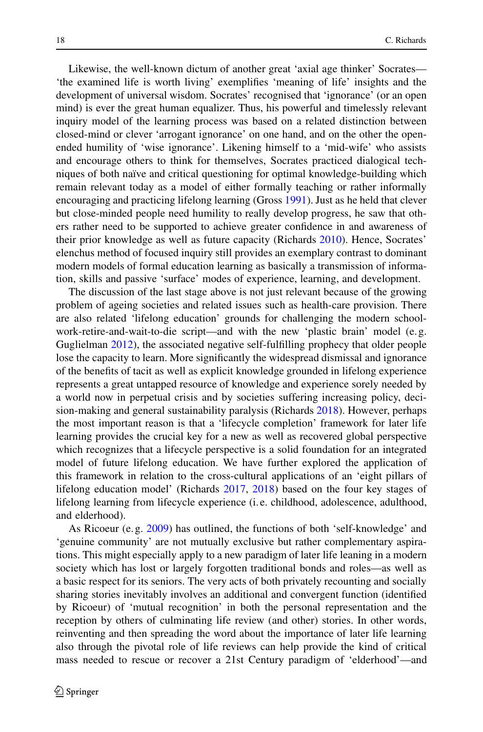Likewise, the well-known dictum of another great 'axial age thinker' Socrates— 'the examined life is worth living' exemplifies 'meaning of life' insights and the development of universal wisdom. Socrates' recognised that 'ignorance' (or an open mind) is ever the great human equalizer. Thus, his powerful and timelessly relevant inquiry model of the learning process was based on a related distinction between closed-mind or clever 'arrogant ignorance' on one hand, and on the other the openended humility of 'wise ignorance'. Likening himself to a 'mid-wife' who assists and encourage others to think for themselves, Socrates practiced dialogical techniques of both naïve and critical questioning for optimal knowledge-building which remain relevant today as a model of either formally teaching or rather informally encouraging and practicing lifelong learning (Gross [1991\)](#page-15-17). Just as he held that clever but close-minded people need humility to really develop progress, he saw that others rather need to be supported to achieve greater confidence in and awareness of their prior knowledge as well as future capacity (Richards [2010\)](#page-16-31). Hence, Socrates' elenchus method of focused inquiry still provides an exemplary contrast to dominant modern models of formal education learning as basically a transmission of information, skills and passive 'surface' modes of experience, learning, and development.

The discussion of the last stage above is not just relevant because of the growing problem of ageing societies and related issues such as health-care provision. There are also related 'lifelong education' grounds for challenging the modern schoolwork-retire-and-wait-to-die script—and with the new 'plastic brain' model (e. g. Guglielman [2012\)](#page-16-32), the associated negative self-fulfilling prophecy that older people lose the capacity to learn. More significantly the widespread dismissal and ignorance of the benefits of tacit as well as explicit knowledge grounded in lifelong experience represents a great untapped resource of knowledge and experience sorely needed by a world now in perpetual crisis and by societies suffering increasing policy, decision-making and general sustainability paralysis (Richards [2018\)](#page-16-4). However, perhaps the most important reason is that a 'lifecycle completion' framework for later life learning provides the crucial key for a new as well as recovered global perspective which recognizes that a lifecycle perspective is a solid foundation for an integrated model of future lifelong education. We have further explored the application of this framework in relation to the cross-cultural applications of an 'eight pillars of lifelong education model' (Richards [2017,](#page-16-33) [2018\)](#page-16-4) based on the four key stages of lifelong learning from lifecycle experience (i. e. childhood, adolescence, adulthood, and elderhood).

As Ricoeur (e. g. [2009\)](#page-16-23) has outlined, the functions of both 'self-knowledge' and 'genuine community' are not mutually exclusive but rather complementary aspirations. This might especially apply to a new paradigm of later life leaning in a modern society which has lost or largely forgotten traditional bonds and roles—as well as a basic respect for its seniors. The very acts of both privately recounting and socially sharing stories inevitably involves an additional and convergent function (identified by Ricoeur) of 'mutual recognition' in both the personal representation and the reception by others of culminating life review (and other) stories. In other words, reinventing and then spreading the word about the importance of later life learning also through the pivotal role of life reviews can help provide the kind of critical mass needed to rescue or recover a 21st Century paradigm of 'elderhood'—and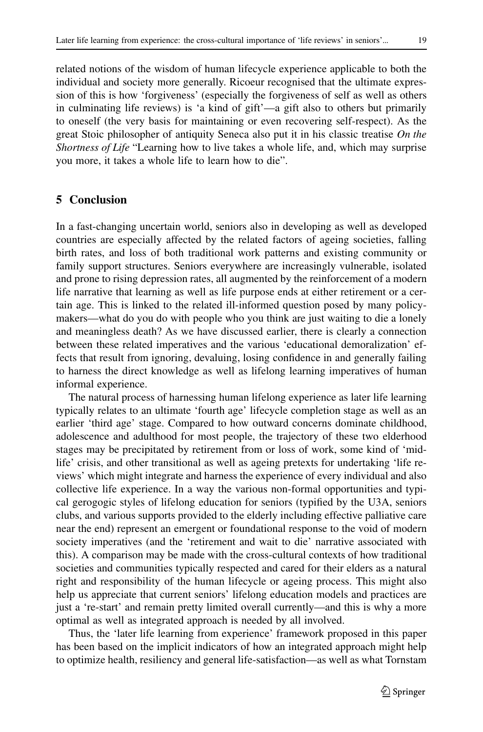related notions of the wisdom of human lifecycle experience applicable to both the individual and society more generally. Ricoeur recognised that the ultimate expression of this is how 'forgiveness' (especially the forgiveness of self as well as others in culminating life reviews) is 'a kind of gift'—a gift also to others but primarily to oneself (the very basis for maintaining or even recovering self-respect). As the great Stoic philosopher of antiquity Seneca also put it in his classic treatise *On the Shortness of Life* "Learning how to live takes a whole life, and, which may surprise you more, it takes a whole life to learn how to die".

#### **5 Conclusion**

In a fast-changing uncertain world, seniors also in developing as well as developed countries are especially affected by the related factors of ageing societies, falling birth rates, and loss of both traditional work patterns and existing community or family support structures. Seniors everywhere are increasingly vulnerable, isolated and prone to rising depression rates, all augmented by the reinforcement of a modern life narrative that learning as well as life purpose ends at either retirement or a certain age. This is linked to the related ill-informed question posed by many policymakers—what do you do with people who you think are just waiting to die a lonely and meaningless death? As we have discussed earlier, there is clearly a connection between these related imperatives and the various 'educational demoralization' effects that result from ignoring, devaluing, losing confidence in and generally failing to harness the direct knowledge as well as lifelong learning imperatives of human informal experience.

The natural process of harnessing human lifelong experience as later life learning typically relates to an ultimate 'fourth age' lifecycle completion stage as well as an earlier 'third age' stage. Compared to how outward concerns dominate childhood, adolescence and adulthood for most people, the trajectory of these two elderhood stages may be precipitated by retirement from or loss of work, some kind of 'midlife' crisis, and other transitional as well as ageing pretexts for undertaking 'life reviews' which might integrate and harness the experience of every individual and also collective life experience. In a way the various non-formal opportunities and typical gerogogic styles of lifelong education for seniors (typified by the U3A, seniors clubs, and various supports provided to the elderly including effective palliative care near the end) represent an emergent or foundational response to the void of modern society imperatives (and the 'retirement and wait to die' narrative associated with this). A comparison may be made with the cross-cultural contexts of how traditional societies and communities typically respected and cared for their elders as a natural right and responsibility of the human lifecycle or ageing process. This might also help us appreciate that current seniors' lifelong education models and practices are just a 're-start' and remain pretty limited overall currently—and this is why a more optimal as well as integrated approach is needed by all involved.

Thus, the 'later life learning from experience' framework proposed in this paper has been based on the implicit indicators of how an integrated approach might help to optimize health, resiliency and general life-satisfaction—as well as what Tornstam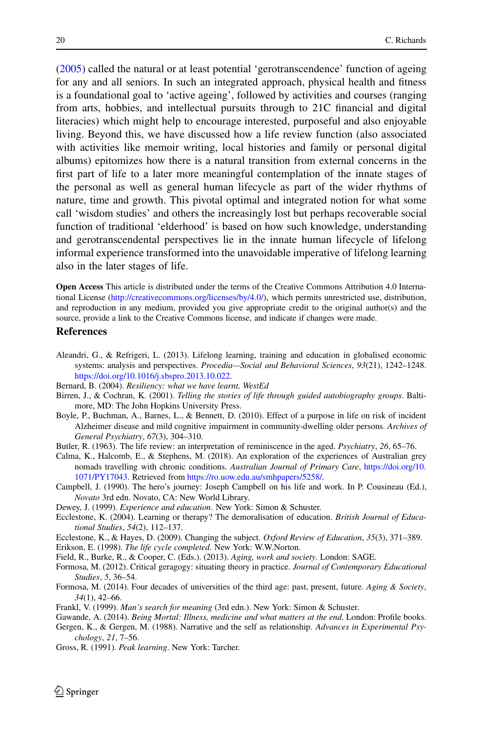[\(2005\)](#page-16-14) called the natural or at least potential 'gerotranscendence' function of ageing for any and all seniors. In such an integrated approach, physical health and fitness is a foundational goal to 'active ageing', followed by activities and courses (ranging from arts, hobbies, and intellectual pursuits through to 21C financial and digital literacies) which might help to encourage interested, purposeful and also enjoyable living. Beyond this, we have discussed how a life review function (also associated with activities like memoir writing, local histories and family or personal digital albums) epitomizes how there is a natural transition from external concerns in the first part of life to a later more meaningful contemplation of the innate stages of the personal as well as general human lifecycle as part of the wider rhythms of nature, time and growth. This pivotal optimal and integrated notion for what some call 'wisdom studies' and others the increasingly lost but perhaps recoverable social function of traditional 'elderhood' is based on how such knowledge, understanding and gerotranscendental perspectives lie in the innate human lifecycle of lifelong informal experience transformed into the unavoidable imperative of lifelong learning also in the later stages of life.

**Open Access** This article is distributed under the terms of the Creative Commons Attribution 4.0 International License [\(http://creativecommons.org/licenses/by/4.0/\)](http://creativecommons.org/licenses/by/4.0/), which permits unrestricted use, distribution, and reproduction in any medium, provided you give appropriate credit to the original author(s) and the source, provide a link to the Creative Commons license, and indicate if changes were made.

#### **References**

- <span id="page-15-0"></span>Aleandri, G., & Refrigeri, L. (2013). Lifelong learning, training and education in globalised economic systems: analysis and perspectives. *Procedia—Social and Behavioral Sciences*, *93*(21), 1242–1248. [https://doi.org/10.1016/j.sbspro.2013.10.022.](https://doi.org/10.1016/j.sbspro.2013.10.022)
- <span id="page-15-14"></span><span id="page-15-7"></span>Bernard, B. (2004). *Resiliency: what we have learnt, WestEd*
- Birren, J., & Cochran, K. (2001). *Telling the stories of life through guided autobiography groups*. Baltimore, MD: The John Hopkins University Press.
- <span id="page-15-4"></span>Boyle, P., Buchman, A., Barnes, L., & Bennett, D. (2010). Effect of a purpose in life on risk of incident Alzheimer disease and mild cognitive impairment in community-dwelling older persons. *Archives of General Psychiatry*, *67*(3), 304–310.
- <span id="page-15-13"></span><span id="page-15-8"></span>Butler, R. (1963). The life review: an interpretation of reminiscence in the aged. *Psychiatry*, *26*, 65–76.
- Calma, K., Halcomb, E., & Stephens, M. (2018). An exploration of the experiences of Australian grey nomads travelling with chronic conditions. *Australian Journal of Primary Care*, [https://doi.org/10.](https://doi.org/10.1071/PY17043) [1071/PY17043.](https://doi.org/10.1071/PY17043) Retrieved from [https://ro.uow.edu.au/smhpapers/5258/.](https://ro.uow.edu.au/smhpapers/5258/)
- <span id="page-15-16"></span><span id="page-15-3"></span>Campbell, J. (1990). The hero's journey: Joseph Campbell on his life and work. In P. Cousineau (Ed.), *Novato* 3rd edn. Novato, CA: New World Library.
- <span id="page-15-5"></span>Dewey, J. (1999). *Experience and education*. New York: Simon & Schuster.
- Ecclestone, K. (2004). Learning or therapy? The demoralisation of education. *British Journal of Educational Studies*, *54*(2), 112–137.
- <span id="page-15-10"></span><span id="page-15-6"></span>Ecclestone, K., & Hayes, D. (2009). Changing the subject. *Oxford Review of Education*, *35*(3), 371–389.
- <span id="page-15-9"></span>Erikson, E. (1998). *The life cycle completed*. New York: W.W.Norton.
- <span id="page-15-2"></span>Field, R., Burke, R., & Cooper, C. (Eds.). (2013). *Aging, work and society*. London: SAGE.
- Formosa, M. (2012). Critical geragogy: situating theory in practice. *Journal of Contemporary Educational Studies*, *5*, 36–54.
- <span id="page-15-1"></span>Formosa, M. (2014). Four decades of universities of the third age: past, present, future. *Aging & Society*, *34*(1), 42–66.
- <span id="page-15-12"></span><span id="page-15-11"></span>Frankl, V. (1999). *Man's search for meaning* (3rd edn.). New York: Simon & Schuster.
- <span id="page-15-15"></span>Gawande, A. (2014). *Being Mortal: Illness, medicine and what matters at the end*. London: Profile books. Gergen, K., & Gergen, M. (1988). Narrative and the self as relationship. *Advances in Experimental Psychology*, *21*, 7–56.
- <span id="page-15-17"></span>Gross, R. (1991). *Peak learning*. New York: Tarcher.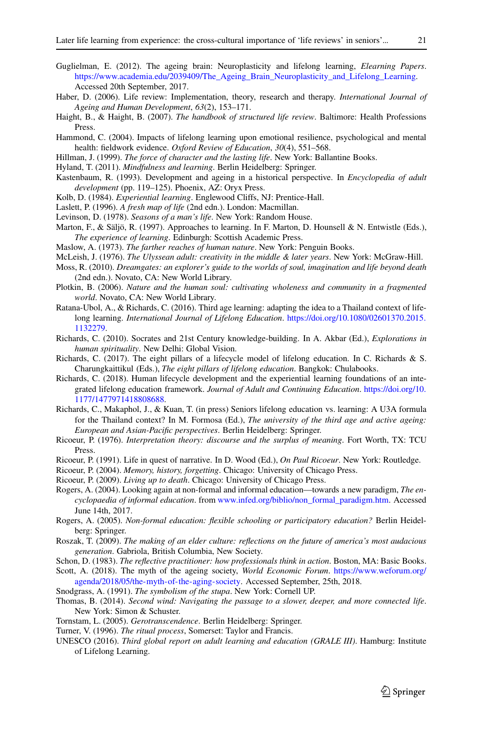- <span id="page-16-32"></span>Guglielman, E. (2012). The ageing brain: Neuroplasticity and lifelong learning, *Elearning Papers*. [https://www.academia.edu/2039409/The\\_Ageing\\_Brain\\_Neuroplasticity\\_and\\_Lifelong\\_Learning.](https://www.academia.edu/2039409/The_Ageing_Brain_Neuroplasticity_and_Lifelong_Learning) Accessed 20th September, 2017.
- <span id="page-16-19"></span><span id="page-16-18"></span>Haber, D. (2006). Life review: Implementation, theory, research and therapy. *International Journal of Ageing and Human Development*, *63*(2), 153–171.
- Haight, B., & Haight, B. (2007). *The handbook of structured life review*. Baltimore: Health Professions Press.
- <span id="page-16-28"></span><span id="page-16-21"></span>Hammond, C. (2004). Impacts of lifelong learning upon emotional resilience, psychological and mental health: fieldwork evidence. *Oxford Review of Education*, *30*(4), 551–568.
- <span id="page-16-17"></span>Hillman, J. (1999). *The force of character and the lasting life*. New York: Ballantine Books.
- <span id="page-16-16"></span>Hyland, T. (2011). *Mindfulness and learning*. Berlin Heidelberg: Springer.
- Kastenbaum, R. (1993). Development and ageing in a historical perspective. In *Encyclopedia of adult development* (pp. 119–125). Phoenix, AZ: Oryx Press.
- <span id="page-16-11"></span><span id="page-16-5"></span>Kolb, D. (1984). *Experiential learning*. Englewood Cliffs, NJ: Prentice-Hall.
- <span id="page-16-15"></span>Laslett, P. (1996). *A fresh map of life* (2nd edn.). London: Macmillan.
- <span id="page-16-6"></span>Levinson, D. (1978). *Seasons of a man's life*. New York: Random House.
- <span id="page-16-9"></span>Marton, F., & Säljö, R. (1997). Approaches to learning. In F. Marton, D. Hounsell & N. Entwistle (Eds.), *The experience of learning*. Edinburgh: Scottish Academic Press.
- <span id="page-16-12"></span>Maslow, A. (1973). *The farther reaches of human nature*. New York: Penguin Books.
- <span id="page-16-20"></span>McLeish, J. (1976). *The Ulyssean adult: creativity in the middle & later years*. New York: McGraw-Hill.
- <span id="page-16-13"></span>Moss, R. (2010). *Dreamgates: an explorer's guide to the worlds of soul, imagination and life beyond death* (2nd edn.). Novato, CA: New World Library.
- <span id="page-16-3"></span>Plotkin, B. (2006). *Nature and the human soul: cultivating wholeness and community in a fragmented world*. Novato, CA: New World Library.
- Ratana-Ubol, A., & Richards, C. (2016). Third age learning: adapting the idea to a Thailand context of lifelong learning. *International Journal of Lifelong Education*. [https://doi.org/10.1080/02601370.2015.](https://doi.org/10.1080/02601370.2015.1132279) [1132279.](https://doi.org/10.1080/02601370.2015.1132279)
- <span id="page-16-33"></span><span id="page-16-31"></span>Richards, C. (2010). Socrates and 21st Century knowledge-building. In A. Akbar (Ed.), *Explorations in human spirituality*. New Delhi: Global Vision.
- Richards, C. (2017). The eight pillars of a lifecycle model of lifelong education. In C. Richards & S. Charungkaittikul (Eds.), *The eight pillars of lifelong education*. Bangkok: Chulabooks.
- <span id="page-16-4"></span>Richards, C. (2018). Human lifecycle development and the experiential learning foundations of an integrated lifelong education framework. *Journal of Adult and Continuing Education*. [https://doi.org/10.](https://doi.org/10.1177/1477971418808688) [1177/1477971418808688.](https://doi.org/10.1177/1477971418808688)
- <span id="page-16-2"></span>Richards, C., Makaphol, J., & Kuan, T. (in press) Seniors lifelong education vs. learning: A U3A formula for the Thailand context? In M. Formosa (Ed.), *The university of the third age and active ageing: European and Asian-Pacific perspectives*. Berlin Heidelberg: Springer.
- <span id="page-16-24"></span>Ricoeur, P. (1976). *Interpretation theory: discourse and the surplus of meaning*. Fort Worth, TX: TCU Press.
- <span id="page-16-26"></span><span id="page-16-25"></span>Ricoeur, P. (1991). Life in quest of narrative. In D. Wood (Ed.), *On Paul Ricoeur*. New York: Routledge.
- <span id="page-16-23"></span>Ricoeur, P. (2004). *Memory, history, forgetting*. Chicago: University of Chicago Press.
- <span id="page-16-7"></span>Ricoeur, P. (2009). *Living up to death*. Chicago: University of Chicago Press.
- Rogers, A. (2004). Looking again at non-formal and informal education—towards a new paradigm, *The encyclopaedia of informal education*. from [www.infed.org/biblio/non\\_formal\\_paradigm.htm.](http://www.infed.org/biblio/non_formal_paradigm.htm) Accessed June 14th, 2017.
- <span id="page-16-8"></span>Rogers, A. (2005). *Non-formal education: flexible schooling or participatory education?* Berlin Heidelberg: Springer.
- <span id="page-16-29"></span>Roszak, T. (2009). *The making of an elder culture: reflections on the future of america's most audacious generation*. Gabriola, British Columbia, New Society.
- <span id="page-16-22"></span><span id="page-16-1"></span>Schon, D. (1983). *The reflective practitioner: how professionals think in action*. Boston, MA: Basic Books.
- Scott, A. (2018). The myth of the ageing society, *World Economic Forum*. [https://www.weforum.org/](https://www.weforum.org/agenda/2018/05/the-myth-of-the-aging-society) [agenda/2018/05/the-myth-of-the-aging-society.](https://www.weforum.org/agenda/2018/05/the-myth-of-the-aging-society) Accessed September, 25th, 2018.
- <span id="page-16-30"></span><span id="page-16-10"></span>Snodgrass, A. (1991). *The symbolism of the stupa*. New York: Cornell UP.
- Thomas, B. (2014). *Second wind: Navigating the passage to a slower, deeper, and more connected life*. New York: Simon & Schuster.
- <span id="page-16-27"></span><span id="page-16-14"></span>Tornstam, L. (2005). *Gerotranscendence*. Berlin Heidelberg: Springer.
- <span id="page-16-0"></span>Turner, V. (1996). *The ritual process*, Somerset: Taylor and Francis.
- UNESCO (2016). *Third global report on adult learning and education (GRALE III)*. Hamburg: Institute of Lifelong Learning.